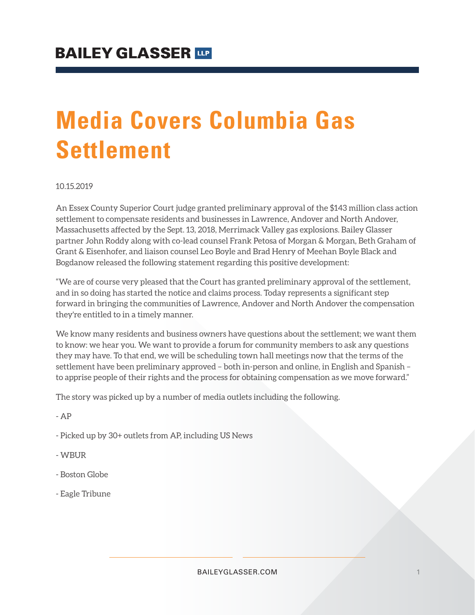# **Media Covers Columbia Gas Settlement**

#### 10.15.2019

An Essex County Superior Court judge granted preliminary approval of the \$143 million class action settlement to compensate residents and businesses in Lawrence, Andover and North Andover, Massachusetts affected by the Sept. 13, 2018, Merrimack Valley gas explosions. Bailey Glasser partner John Roddy along with co-lead counsel Frank Petosa of Morgan & Morgan, Beth Graham of Grant & Eisenhofer, and liaison counsel Leo Boyle and Brad Henry of Meehan Boyle Black and Bogdanow released the following statement regarding this positive development:

"We are of course very pleased that the Court has granted preliminary approval of the settlement, and in so doing has started the notice and claims process. Today represents a significant step forward in bringing the communities of Lawrence, Andover and North Andover the compensation they're entitled to in a timely manner.

We know many residents and business owners have questions about the settlement; we want them to know: we hear you. We want to provide a forum for community members to ask any questions they may have. To that end, we will be scheduling town hall meetings now that the terms of the settlement have been preliminary approved – both in-person and online, in English and Spanish – to apprise people of their rights and the process for obtaining compensation as we move forward."

The story was picked up by a number of media outlets including the following.

- AP

- Picked up by 30+ outlets from AP, including US News
- WBUR
- Boston Globe
- Eagle Tribune